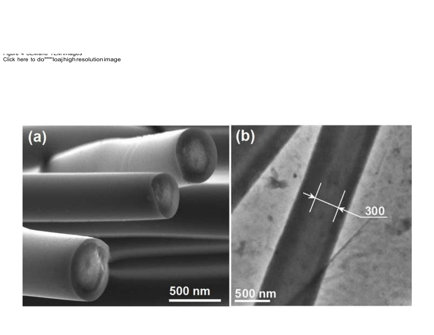பதாச சூபயவாட்டிய மாவுக்க<br>Click here to do"""'loajhigh.resolution.image

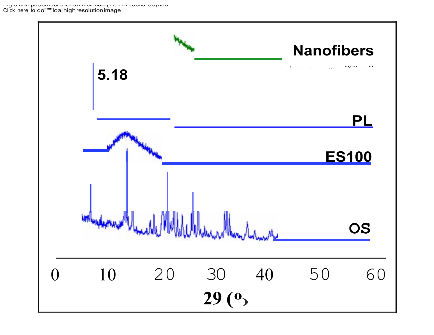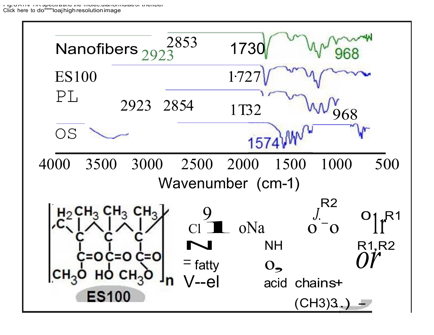n ig. Union investigation and invide and intimate or and independent Click here to do"""loaj high resolution image

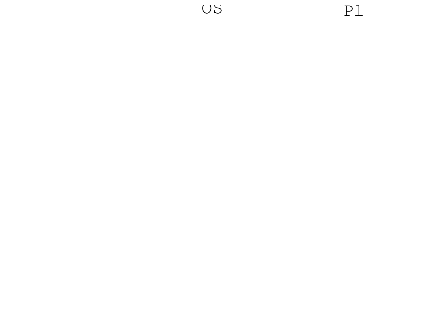

US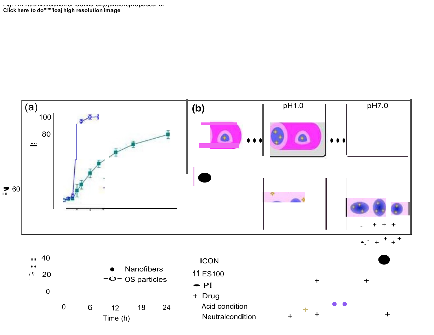

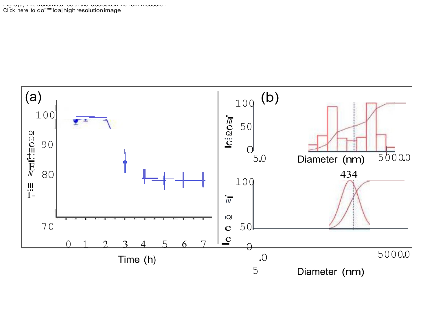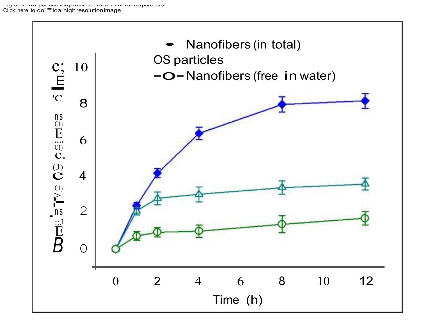